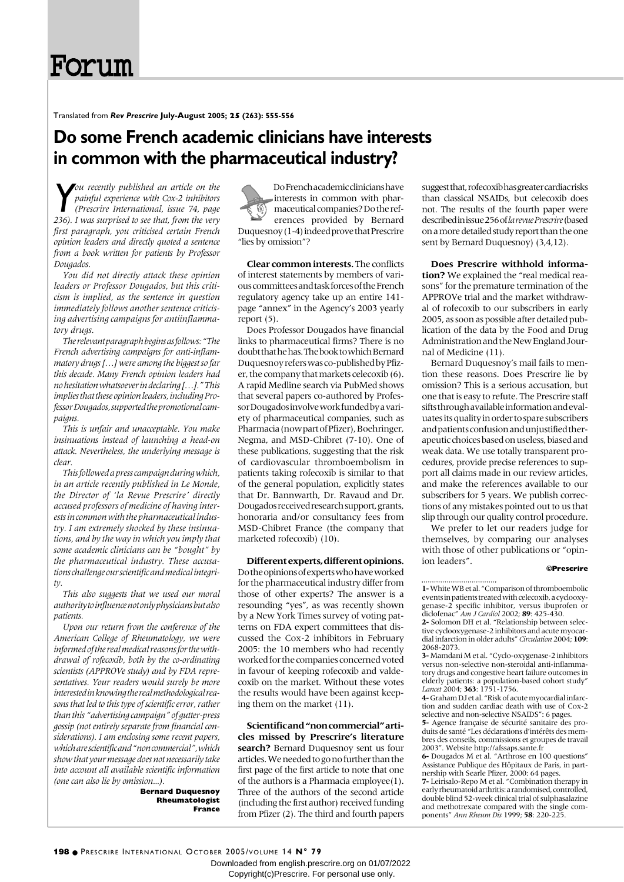# Forum

Translated from *Rev Prescrire* **July-August 2005; 25 (263): 555-556**

### **Do some French academic clinicians have interests in common with the pharmaceutical industry?**

*You recently published an article on the painful experience with Cox-2 inhibitors* **(***Prescrire International, issue 74, page 236***).** *I was surprised to see that, from the very ou recently published an article on the painful experience with Cox-2 inhibitors (Prescrire International, issue 74, page first paragraph, you criticised certain French opinion leaders and directly quoted a sentence from a book written for patients by Professor Dougados.*

*You did not directly attack these opinion leaders or Professor Dougados, but this criticism is implied, as the sentence in question immediately follows another sentence criticising advertising campaigns for antiinflammatory drugs.*

*The relevant paragraph begins as follows: "The French advertising campaigns for anti-inflammatory drugs […] were among the biggest so far this decade. Many French opinion leaders had no hesitation whatsoever in declaring […]." This implies that these opinion leaders, including Professor Dougados, supported the promotional campaigns.*

*This is unfair and unacceptable. You make insinuations instead of launching a head-on attack. Nevertheless, the underlying message is clear.*

*This followed a press campaign during which, in an article recently published in Le Monde, the Director of 'la Revue Prescrire' directly accused professors of medicine of having interests in common with the pharmaceutical industry. I am extremely shocked by these insinuations, and by the way in which you imply that some academic clinicians can be "bought" by the pharmaceutical industry. These accusations challenge our scientific and medical integri* $t\nu$ 

*This also suggests that we used our moral authority to influence not only physicians but also patients.*

*Upon our return from the conference of the American College of Rheumatology, we were informed of the real medical reasons for the withdrawal of rofecoxib, both by the co-ordinating scientists (APPROVe study) and by FDA representatives. Your readers would surely be more interested in knowing the real methodological reasons that led to this type of scientific error, rather than this "advertising campaign" of gutter-press gossip (not entirely separate from financial considerations). I am enclosing some recent papers, which are scientific and "non commercial", which show that your message does not necessarily take into account all available scientific information (one can also lie by omission...).*

> **Bernard Duquesnoy Rheumatologist France**

Do French academic clinicians have interests in common with pharmaceutical companies? Do the references provided by Bernard Duquesnoy (1-4) indeed prove that Prescrire "lies by omission"?

**Clear common interests.** The conflicts of interest statements by members of various committees and task forces of the French regulatory agency take up an entire 141 page "annex" in the Agency's 2003 yearly report (5).

Does Professor Dougados have financial links to pharmaceutical firms? There is no doubt that he has. The book to which Bernard Duquesnoy refers was co-published by Pfizer, the company that markets celecoxib (6). A rapid Medline search via PubMed shows that several papers co-authored by Professor Dougados involve work funded by a variety of pharmaceutical companies, such as Pharmacia (now part of Pfizer), Boehringer, Negma, and MSD-Chibret (7-10). One of these publications, suggesting that the risk of cardiovascular thromboembolism in patients taking rofecoxib is similar to that of the general population, explicitly states that Dr. Bannwarth, Dr. Ravaud and Dr. Dougados received research support, grants, honoraria and/or consultancy fees from MSD-Chibret France (the company that marketed rofecoxib) (10).

**Different experts, different opinions.** Do the opinions of experts who have worked for the pharmaceutical industry differ from those of other experts? The answer is a resounding "yes", as was recently shown by a New York Times survey of voting patterns on FDA expert committees that discussed the Cox-2 inhibitors in February 2005: the 10 members who had recently worked for the companies concerned voted in favour of keeping rofecoxib and valdecoxib on the market. Without these votes the results would have been against keeping them on the market (11).

**Scientific and "non commercial" articles missed by Prescrire's literature search?** Bernard Duquesnoy sent us four articles. We needed to go no further than the first page of the first article to note that one of the authors is a Pharmacia employee(1). Three of the authors of the second article (including the first author) received funding from Pfizer (2). The third and fourth papers suggest that, rofecoxib has greater cardiac risks than classical NSAIDs, but celecoxib does not. The results of the fourth paper were described in issue 256 of *la revue Prescrire*(based on a more detailed study report than the one sent by Bernard Duquesnoy) (3,4,12).

**Does Prescrire withhold information?** We explained the "real medical reasons" for the premature termination of the APPROVe trial and the market withdrawal of rofecoxib to our subscribers in early 2005, as soon as possible after detailed publication of the data by the Food and Drug Administration and the New England Journal of Medicine (11).

Bernard Duquesnoy's mail fails to mention these reasons. Does Prescrire lie by omission? This is a serious accusation, but one that is easy to refute. The Prescrire staff sifts through available information and evaluates its quality in order to spare subscribers and patients confusion and unjustified therapeutic choices based on useless, biased and weak data. We use totally transparent procedures, provide precise references to support all claims made in our review articles, and make the references available to our subscribers for 5 years. We publish corrections of any mistakes pointed out to us that slip through our quality control procedure.

We prefer to let our readers judge for themselves, by comparing our analyses with those of other publications or "opinion leaders".

#### **©Prescrire**

**1-**White WB et al. "Comparison of thromboembolic events in patients treated with celecoxib, a cyclooxygenase-2 specific inhibitor, versus ibuprofen or diclofenac" *Am J Cardiol* 2002; **89**: 425-430.

**2-** Solomon DH et al. "Relationship between selective cyclooxygenase-2 inhibitors and acute myocardial infarction in older adults" *Circulation* 2004; **109**: 2068-2073.

**3-** Mamdani M et al. "Cyclo-oxygenase-2 inhibitors versus non-selective non-steroidal anti-inflammatory drugs and congestive heart failure outcomes in elderly patients: a population-based cohort study" *Lancet* 2004; **363**: 1751-1756.

**4-**Graham DJ et al. "Risk of acute myocardial infarction and sudden cardiac death with use of Cox-2 selective and non-selective NSAIDS": 6 pages.

**5-** Agence française de sécurité sanitaire des produits de santé "Les déclarations d'intérêts des membres des conseils, commissions et groupes de travail 2003". Website http://afssaps.sante.fr **6-** Dougados M et al. "Arthrose en 100 questions"

Assistance Publique des Hôpitaux de Paris, in partnership with Searle Pfizer, 2000: 64 pages.

**7-** Leirisalo-Repo M et al. "Combination therapy in early rheumatoid arthritis: a randomised, controlled, double blind 52-week clinical trial of sulphasalazine and methotrexate compared with the single components" *Ann Rheum Dis* 1999; **58**: 220-225.

Downloaded from english.prescrire.org on 01/07/2022 Copyright(c)Prescrire. For personal use only.